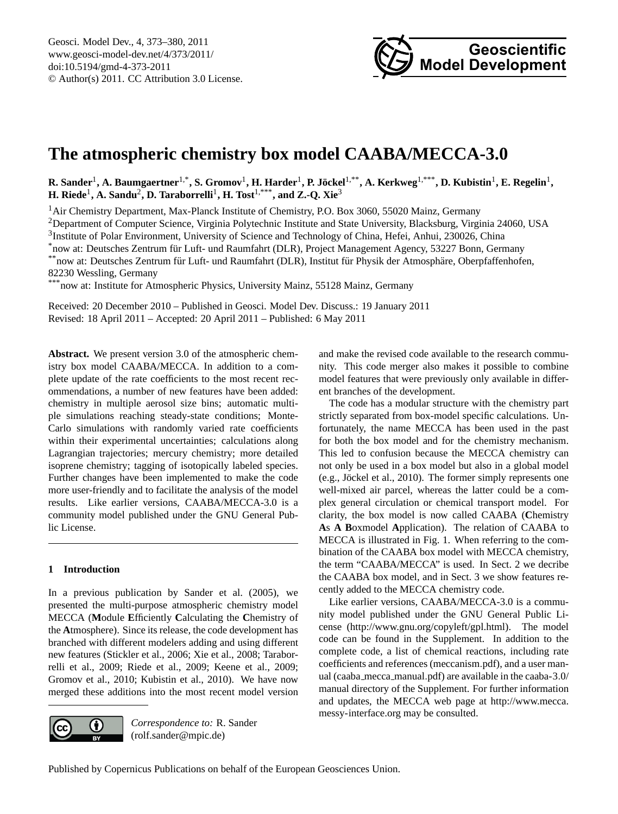

# <span id="page-0-0"></span>**The atmospheric chemistry box model CAABA/MECCA-3.0**

 ${\bf R.\,Sander}^1,$   ${\bf A.\,Baumgaertner}^{1,*},$   ${\bf S.\,Gromov}^1,$   ${\bf H.\,Harder}^1,$   ${\bf P.\,Jöckel}^{1,**},$   ${\bf A.\,Kerkweg}^{1,**},$   ${\bf D.\,Kubistin}^1,$   ${\bf E.\,Regelin}^1,$  $\mathbf{H.}\ \mathbf{R}\ \mathbf{E}$   $\mathbf{H.}\ \mathbf{C}$  ,  $\mathbf{A.}\ \mathbf{S}$  and  $\mathbf{C.}\ \mathbf{S}$  ,  $\mathbf{D.}\ \mathbf{D.}\ \mathbf{D.}\ \mathbf{C}$  and  $\mathbf{D.}\ \mathbf{C}$  and  $\mathbf{D.}\ \mathbf{C}$  and  $\mathbf{C.}\ \mathbf{C}$  . Xie  $^3$ 

<sup>1</sup> Air Chemistry Department, Max-Planck Institute of Chemistry, P.O. Box 3060, 55020 Mainz, Germany <sup>2</sup>Department of Computer Science, Virginia Polytechnic Institute and State University, Blacksburg, Virginia 24060, USA <sup>3</sup>Institute of Polar Environment, University of Science and Technology of China, Hefei, Anhui, 230026, China \*now at: Deutsches Zentrum für Luft- und Raumfahrt (DLR), Project Management Agency, 53227 Bonn, Germany \*\* now at: Deutsches Zentrum für Luft- und Raumfahrt (DLR), Institut für Physik der Atmosphäre, Oberpfaffenhofen, 82230 Wessling, Germany

\*\*\* now at: Institute for Atmospheric Physics, University Mainz, 55128 Mainz, Germany

Received: 20 December 2010 – Published in Geosci. Model Dev. Discuss.: 19 January 2011 Revised: 18 April 2011 – Accepted: 20 April 2011 – Published: 6 May 2011

**Abstract.** We present version 3.0 of the atmospheric chemistry box model CAABA/MECCA. In addition to a complete update of the rate coefficients to the most recent recommendations, a number of new features have been added: chemistry in multiple aerosol size bins; automatic multiple simulations reaching steady-state conditions; Monte-Carlo simulations with randomly varied rate coefficients within their experimental uncertainties; calculations along Lagrangian trajectories; mercury chemistry; more detailed isoprene chemistry; tagging of isotopically labeled species. Further changes have been implemented to make the code more user-friendly and to facilitate the analysis of the model results. Like earlier versions, CAABA/MECCA-3.0 is a community model published under the GNU General Public License.

## **1 Introduction**

In a previous publication by [Sander et al.](#page-7-0) [\(2005\)](#page-7-0), we presented the multi-purpose atmospheric chemistry model MECCA (**M**odule **E**fficiently **C**alculating the **C**hemistry of the **A**tmosphere). Since its release, the code development has branched with different modelers adding and using different new features [\(Stickler et al.,](#page-7-1) [2006;](#page-7-1) [Xie et al.,](#page-7-2) [2008;](#page-7-2) [Tarabor](#page-7-3)[relli et al.,](#page-7-3) [2009;](#page-7-3) [Riede et al.,](#page-7-4) [2009;](#page-7-4) [Keene et al.,](#page-6-0) [2009;](#page-6-0) [Gromov et al.,](#page-6-1) [2010;](#page-6-1) [Kubistin et al.,](#page-7-5) [2010\)](#page-7-5). We have now merged these additions into the most recent model version



*Correspondence to:* R. Sander (rolf.sander@mpic.de)

and make the revised code available to the research community. This code merger also makes it possible to combine model features that were previously only available in different branches of the development.

The code has a modular structure with the chemistry part strictly separated from box-model specific calculations. Unfortunately, the name MECCA has been used in the past for both the box model and for the chemistry mechanism. This led to confusion because the MECCA chemistry can not only be used in a box model but also in a global model (e.g., Jöckel et al.,  $2010$ ). The former simply represents one well-mixed air parcel, whereas the latter could be a complex general circulation or chemical transport model. For clarity, the box model is now called CAABA (**C**hemistry **A**s **A B**oxmodel **A**pplication). The relation of CAABA to MECCA is illustrated in Fig. [1.](#page-1-0) When referring to the combination of the CAABA box model with MECCA chemistry, the term "CAABA/MECCA" is used. In Sect. [2](#page-1-1) we decribe the CAABA box model, and in Sect. [3](#page-3-0) we show features recently added to the MECCA chemistry code.

Like earlier versions, CAABA/MECCA-3.0 is a community model published under the GNU General Public License [\(http://www.gnu.org/copyleft/gpl.html\)](http://www.gnu.org/copyleft/gpl.html). The model code can be found in the Supplement. In addition to the complete code, a list of chemical reactions, including rate coefficients and references (meccanism.pdf), and a user manual (caaba mecca manual.pdf) are available in the caaba-3.0/ manual directory of the Supplement. For further information and updates, the MECCA web page at [http://www.mecca.](http://www.mecca.messy-interface.org) [messy-interface.org](http://www.mecca.messy-interface.org) may be consulted.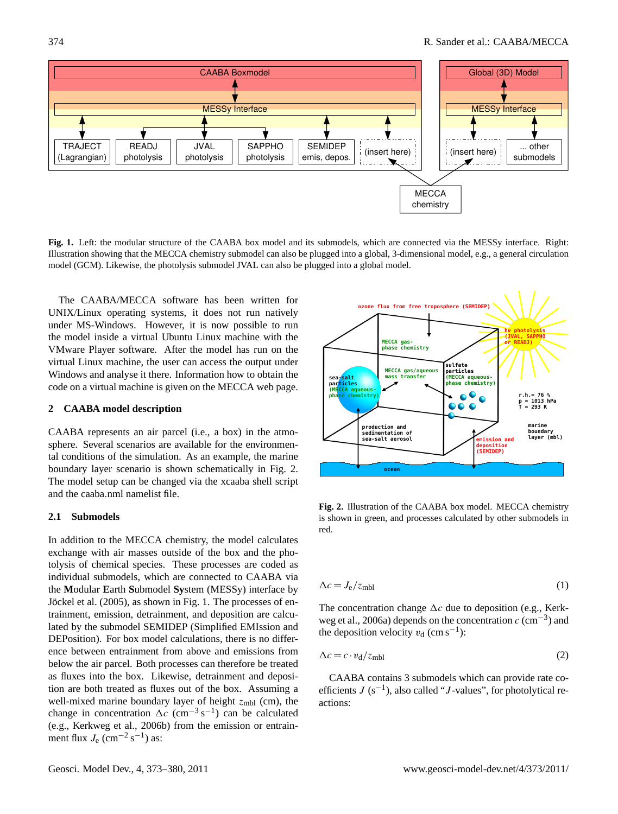

<span id="page-1-0"></span>**Fig. 1.** Left: the modular structure of the CAABA box model and its submodels, which are connected via the MESSy interface. Right: Illustration showing that the MECCA chemistry submodel can also be plugged into a global, 3-dimensional model, e.g., a general circulation model (GCM). Likewise, the photolysis submodel JVAL can also be plugged into a global model.

The CAABA/MECCA software has been written for UNIX/Linux operating systems, it does not run natively under MS-Windows. However, it is now possible to run the model inside a virtual Ubuntu Linux machine with the VMware Player software. After the model has run on the virtual Linux machine, the user can access the output under Windows and analyse it there. Information how to obtain the code on a virtual machine is given on the MECCA web page.

# <span id="page-1-1"></span>**2 CAABA model description**

CAABA represents an air parcel (i.e., a box) in the atmosphere. Several scenarios are available for the environmental conditions of the simulation. As an example, the marine boundary layer scenario is shown schematically in Fig. [2.](#page-1-2) The model setup can be changed via the xcaaba shell script and the caaba.nml namelist file.

# **2.1 Submodels**

In addition to the MECCA chemistry, the model calculates exchange with air masses outside of the box and the photolysis of chemical species. These processes are coded as individual submodels, which are connected to CAABA via the **M**odular **E**arth **S**ubmodel **Sy**stem (MESSy) interface by Jöckel et al.  $(2005)$ , as shown in Fig. [1.](#page-1-0) The processes of entrainment, emission, detrainment, and deposition are calculated by the submodel SEMIDEP (Simplified EMIssion and DEPosition). For box model calculations, there is no difference between entrainment from above and emissions from below the air parcel. Both processes can therefore be treated as fluxes into the box. Likewise, detrainment and deposition are both treated as fluxes out of the box. Assuming a well-mixed marine boundary layer of height  $z<sub>mbl</sub>$  (cm), the change in concentration  $\Delta c$  (cm<sup>-3</sup>s<sup>-1</sup>) can be calculated (e.g., [Kerkweg et al.,](#page-7-6) [2006b\)](#page-7-6) from the emission or entrainment flux  $J_e$  (cm<sup>-2</sup> s<sup>-1</sup>) as:



<span id="page-1-2"></span>**Fig. 2.** Illustration of the CAABA box model. MECCA chemistry is shown in green, and processes calculated by other submodels in red.

$$
\Delta c = J_{\rm e} / z_{\rm mbl} \tag{1}
$$

The concentration change  $\Delta c$  due to deposition (e.g., [Kerk](#page-6-4)[weg et al.,](#page-6-4) [2006a\)](#page-6-4) depends on the concentration  $c$  (cm<sup>-3</sup>) and the deposition velocity  $v_d$  (cm s<sup>-1</sup>):

$$
\Delta c = c \cdot v_{\rm d} / z_{\rm mbl} \tag{2}
$$

CAABA contains 3 submodels which can provide rate coefficients  $J$  (s<sup>-1</sup>), also called " $J$ -values", for photolytical reactions: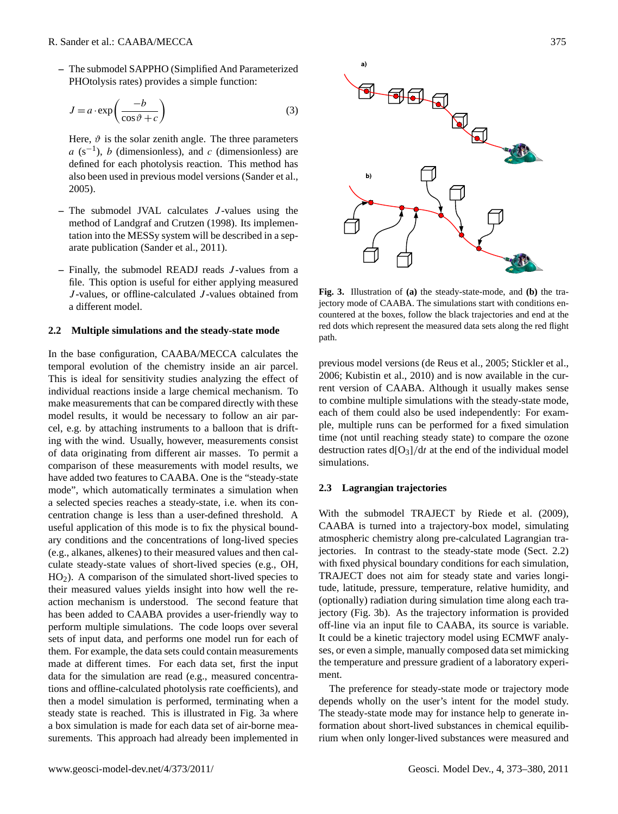**–** The submodel SAPPHO (Simplified And Parameterized PHOtolysis rates) provides a simple function:

$$
J = a \cdot \exp\left(\frac{-b}{\cos \vartheta + c}\right) \tag{3}
$$

Here,  $\vartheta$  is the solar zenith angle. The three parameters  $a$  (s<sup>-1</sup>), *b* (dimensionless), and *c* (dimensionless) are defined for each photolysis reaction. This method has also been used in previous model versions [\(Sander et al.,](#page-7-0) [2005\)](#page-7-0).

- **–** The submodel JVAL calculates J -values using the method of [Landgraf and Crutzen](#page-7-7) [\(1998\)](#page-7-7). Its implementation into the MESSy system will be described in a separate publication (Sander et al., 2011).
- **–** Finally, the submodel READJ reads J -values from a file. This option is useful for either applying measured J -values, or offline-calculated J -values obtained from a different model.

#### <span id="page-2-1"></span>**2.2 Multiple simulations and the steady-state mode**

In the base configuration, CAABA/MECCA calculates the temporal evolution of the chemistry inside an air parcel. This is ideal for sensitivity studies analyzing the effect of individual reactions inside a large chemical mechanism. To make measurements that can be compared directly with these model results, it would be necessary to follow an air parcel, e.g. by attaching instruments to a balloon that is drifting with the wind. Usually, however, measurements consist of data originating from different air masses. To permit a comparison of these measurements with model results, we have added two features to CAABA. One is the "steady-state mode", which automatically terminates a simulation when a selected species reaches a steady-state, i.e. when its concentration change is less than a user-defined threshold. A useful application of this mode is to fix the physical boundary conditions and the concentrations of long-lived species (e.g., alkanes, alkenes) to their measured values and then calculate steady-state values of short-lived species (e.g., OH, HO2). A comparison of the simulated short-lived species to their measured values yields insight into how well the reaction mechanism is understood. The second feature that has been added to CAABA provides a user-friendly way to perform multiple simulations. The code loops over several sets of input data, and performs one model run for each of them. For example, the data sets could contain measurements made at different times. For each data set, first the input data for the simulation are read (e.g., measured concentrations and offline-calculated photolysis rate coefficients), and then a model simulation is performed, terminating when a steady state is reached. This is illustrated in Fig. [3a](#page-2-0) where a box simulation is made for each data set of air-borne measurements. This approach had already been implemented in



<span id="page-2-0"></span>**Fig. 3.** Illustration of **(a)** the steady-state-mode, and **(b)** the trajectory mode of CAABA. The simulations start with conditions encountered at the boxes, follow the black trajectories and end at the red dots which represent the measured data sets along the red flight path.

previous model versions [\(de Reus et al.,](#page-6-5) [2005;](#page-6-5) [Stickler et al.,](#page-7-1) [2006;](#page-7-1) [Kubistin et al.,](#page-7-5) [2010\)](#page-7-5) and is now available in the current version of CAABA. Although it usually makes sense to combine multiple simulations with the steady-state mode, each of them could also be used independently: For example, multiple runs can be performed for a fixed simulation time (not until reaching steady state) to compare the ozone destruction rates  $d[O_3]/dt$  at the end of the individual model simulations.

#### **2.3 Lagrangian trajectories**

With the submodel TRAJECT by [Riede et al.](#page-7-4) [\(2009\)](#page-7-4), CAABA is turned into a trajectory-box model, simulating atmospheric chemistry along pre-calculated Lagrangian trajectories. In contrast to the steady-state mode (Sect. [2.2\)](#page-2-1) with fixed physical boundary conditions for each simulation, TRAJECT does not aim for steady state and varies longitude, latitude, pressure, temperature, relative humidity, and (optionally) radiation during simulation time along each trajectory (Fig. [3b](#page-2-0)). As the trajectory information is provided off-line via an input file to CAABA, its source is variable. It could be a kinetic trajectory model using ECMWF analyses, or even a simple, manually composed data set mimicking the temperature and pressure gradient of a laboratory experiment.

The preference for steady-state mode or trajectory mode depends wholly on the user's intent for the model study. The steady-state mode may for instance help to generate information about short-lived substances in chemical equilibrium when only longer-lived substances were measured and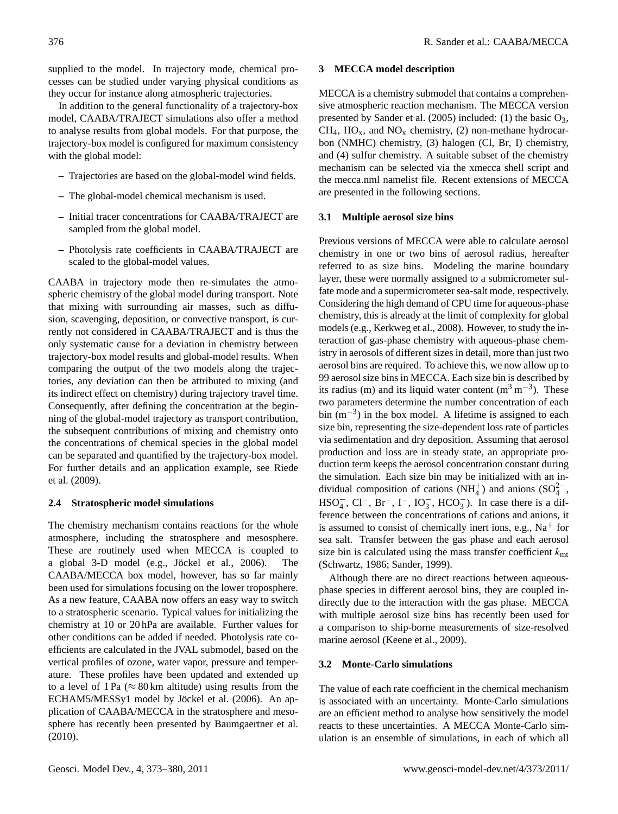supplied to the model. In trajectory mode, chemical processes can be studied under varying physical conditions as they occur for instance along atmospheric trajectories.

In addition to the general functionality of a trajectory-box model, CAABA/TRAJECT simulations also offer a method to analyse results from global models. For that purpose, the trajectory-box model is configured for maximum consistency with the global model:

- **–** Trajectories are based on the global-model wind fields.
- **–** The global-model chemical mechanism is used.
- **–** Initial tracer concentrations for CAABA/TRAJECT are sampled from the global model.
- **–** Photolysis rate coefficients in CAABA/TRAJECT are scaled to the global-model values.

CAABA in trajectory mode then re-simulates the atmospheric chemistry of the global model during transport. Note that mixing with surrounding air masses, such as diffusion, scavenging, deposition, or convective transport, is currently not considered in CAABA/TRAJECT and is thus the only systematic cause for a deviation in chemistry between trajectory-box model results and global-model results. When comparing the output of the two models along the trajectories, any deviation can then be attributed to mixing (and its indirect effect on chemistry) during trajectory travel time. Consequently, after defining the concentration at the beginning of the global-model trajectory as transport contribution, the subsequent contributions of mixing and chemistry onto the concentrations of chemical species in the global model can be separated and quantified by the trajectory-box model. For further details and an application example, see [Riede](#page-7-4) [et al.](#page-7-4) [\(2009\)](#page-7-4).

## **2.4 Stratospheric model simulations**

The chemistry mechanism contains reactions for the whole atmosphere, including the stratosphere and mesosphere. These are routinely used when MECCA is coupled to a global 3-D model (e.g., Jöckel et al., [2006\)](#page-6-6). The CAABA/MECCA box model, however, has so far mainly been used for simulations focusing on the lower troposphere. As a new feature, CAABA now offers an easy way to switch to a stratospheric scenario. Typical values for initializing the chemistry at 10 or 20 hPa are available. Further values for other conditions can be added if needed. Photolysis rate coefficients are calculated in the JVAL submodel, based on the vertical profiles of ozone, water vapor, pressure and temperature. These profiles have been updated and extended up to a level of 1 Pa ( $\approx 80$  km altitude) using results from the ECHAM5/MESSy1 model by Jöckel et al. [\(2006\)](#page-6-6). An application of CAABA/MECCA in the stratosphere and mesosphere has recently been presented by [Baumgaertner et al.](#page-6-7) [\(2010\)](#page-6-7).

## <span id="page-3-0"></span>**3 MECCA model description**

MECCA is a chemistry submodel that contains a comprehensive atmospheric reaction mechanism. The MECCA version presented by [Sander et al.](#page-7-0) [\(2005\)](#page-7-0) included: (1) the basic  $O_3$ ,  $CH_4$ ,  $HO_x$ , and  $NO_x$  chemistry, (2) non-methane hydrocarbon (NMHC) chemistry, (3) halogen (Cl, Br, I) chemistry, and (4) sulfur chemistry. A suitable subset of the chemistry mechanism can be selected via the xmecca shell script and the mecca.nml namelist file. Recent extensions of MECCA are presented in the following sections.

# **3.1 Multiple aerosol size bins**

Previous versions of MECCA were able to calculate aerosol chemistry in one or two bins of aerosol radius, hereafter referred to as size bins. Modeling the marine boundary layer, these were normally assigned to a submicrometer sulfate mode and a supermicrometer sea-salt mode, respectively. Considering the high demand of CPU time for aqueous-phase chemistry, this is already at the limit of complexity for global models (e.g., [Kerkweg et al.,](#page-7-8) [2008\)](#page-7-8). However, to study the interaction of gas-phase chemistry with aqueous-phase chemistry in aerosols of different sizes in detail, more than just two aerosol bins are required. To achieve this, we now allow up to 99 aerosol size bins in MECCA. Each size bin is described by its radius (m) and its liquid water content  $(m^3 m^{-3})$ . These two parameters determine the number concentration of each bin (m−<sup>3</sup> ) in the box model. A lifetime is assigned to each size bin, representing the size-dependent loss rate of particles via sedimentation and dry deposition. Assuming that aerosol production and loss are in steady state, an appropriate production term keeps the aerosol concentration constant during the simulation. Each size bin may be initialized with an individual composition of cations (NH<sub>4</sub><sup>+</sup>) and anions (SO<sub>4</sub><sup>2</sup><sup>-</sup>,  $HSO_4^-$ , Cl<sup>-</sup>, Br<sup>-</sup>, I<sup>-</sup>, IO<sub>3</sub>, HCO<sub>3</sub>). In case there is a difference between the concentrations of cations and anions, it is assumed to consist of chemically inert ions, e.g.,  $Na<sup>+</sup>$  for sea salt. Transfer between the gas phase and each aerosol size bin is calculated using the mass transfer coefficient  $k<sub>mt</sub>$ [\(Schwartz,](#page-7-9) [1986;](#page-7-9) [Sander,](#page-7-10) [1999\)](#page-7-10).

Although there are no direct reactions between aqueousphase species in different aerosol bins, they are coupled indirectly due to the interaction with the gas phase. MECCA with multiple aerosol size bins has recently been used for a comparison to ship-borne measurements of size-resolved marine aerosol [\(Keene et al.,](#page-6-0) [2009\)](#page-6-0).

## **3.2 Monte-Carlo simulations**

The value of each rate coefficient in the chemical mechanism is associated with an uncertainty. Monte-Carlo simulations are an efficient method to analyse how sensitively the model reacts to these uncertainties. A MECCA Monte-Carlo simulation is an ensemble of simulations, in each of which all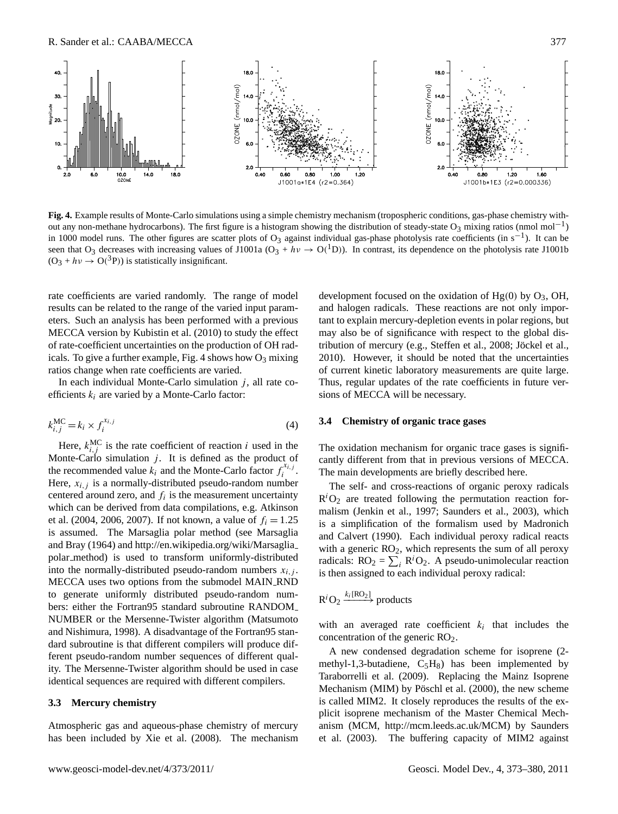

<span id="page-4-0"></span>**Fig. 4.** Example results of Monte-Carlo simulations using a simple chemistry mechanism (tropospheric conditions, gas-phase chemistry without any non-methane hydrocarbons). The first figure is a histogram showing the distribution of steady-state O<sub>3</sub> mixing ratios (nmol mol<sup>-1</sup>) in 1000 model runs. The other figures are scatter plots of O<sub>3</sub> against individual gas-phase photolysis rate coefficients (in s<sup>-1</sup>). It can be seen that O<sub>3</sub> decreases with increasing values of J1001a (O<sub>3</sub> +  $hv \rightarrow O(^{1}D)$ ). In contrast, its dependence on the photolysis rate J1001b  $(O_3 + hv \rightarrow O(^3P))$  is statistically insignificant.

rate coefficients are varied randomly. The range of model results can be related to the range of the varied input parameters. Such an analysis has been performed with a previous MECCA version by [Kubistin et al.](#page-7-5) [\(2010\)](#page-7-5) to study the effect of rate-coefficient uncertainties on the production of OH rad-icals. To give a further example, Fig. [4](#page-4-0) shows how  $O_3$  mixing ratios change when rate coefficients are varied.

In each individual Monte-Carlo simulation  $j$ , all rate coefficients  $k_i$  are varied by a Monte-Carlo factor:

$$
k_{i,j}^{\text{MC}} = k_i \times f_i^{x_{i,j}} \tag{4}
$$

Here,  $k_{i,j}^{\text{MC}}$  is the rate coefficient of reaction i used in the Monte-Carlo simulation  $j$ . It is defined as the product of the recommended value  $k_i$  and the Monte-Carlo factor  $f_i^{x_{i,j}}$  $\frac{u_{i,j}}{i}$ . Here,  $x_{i,j}$  is a normally-distributed pseudo-random number centered around zero, and  $f_i$  is the measurement uncertainty which can be derived from data compilations, e.g. [Atkinson](#page-6-8) [et al.](#page-6-8) [\(2004,](#page-6-8) [2006,](#page-6-9) [2007\)](#page-6-10). If not known, a value of  $f_i = 1.25$ is assumed. The Marsaglia polar method (see [Marsaglia](#page-7-11) [and Bray](#page-7-11) [\(1964\)](#page-7-11) and [http://en.wikipedia.org/wiki/Marsaglia](http://en.wikipedia.org/wiki/Marsaglia_polar_method) polar [method\)](http://en.wikipedia.org/wiki/Marsaglia_polar_method) is used to transform uniformly-distributed into the normally-distributed pseudo-random numbers  $x_{i,j}$ . MECCA uses two options from the submodel MAIN RND to generate uniformly distributed pseudo-random numbers: either the Fortran95 standard subroutine RANDOM NUMBER or the Mersenne-Twister algorithm [\(Matsumoto](#page-7-12) [and Nishimura,](#page-7-12) [1998\)](#page-7-12). A disadvantage of the Fortran95 standard subroutine is that different compilers will produce different pseudo-random number sequences of different quality. The Mersenne-Twister algorithm should be used in case identical sequences are required with different compilers.

#### **3.3 Mercury chemistry**

Atmospheric gas and aqueous-phase chemistry of mercury has been included by [Xie et al.](#page-7-2) [\(2008\)](#page-7-2). The mechanism

development focused on the oxidation of  $Hg(0)$  by  $O<sub>3</sub>$ , OH, and halogen radicals. These reactions are not only important to explain mercury-depletion events in polar regions, but may also be of significance with respect to the global dis-tribution of mercury (e.g., [Steffen et al.,](#page-7-13) [2008;](#page-7-13) Jöckel et al., [2010\)](#page-6-2). However, it should be noted that the uncertainties of current kinetic laboratory measurements are quite large. Thus, regular updates of the rate coefficients in future versions of MECCA will be necessary.

#### <span id="page-4-1"></span>**3.4 Chemistry of organic trace gases**

The oxidation mechanism for organic trace gases is significantly different from that in previous versions of MECCA. The main developments are briefly described here.

The self- and cross-reactions of organic peroxy radicals  $R^{i}O_{2}$  are treated following the permutation reaction formalism [\(Jenkin et al.,](#page-6-11) [1997;](#page-6-11) [Saunders et al.,](#page-7-14) [2003\)](#page-7-14), which is a simplification of the formalism used by [Madronich](#page-7-15) [and Calvert](#page-7-15) [\(1990\)](#page-7-15). Each individual peroxy radical reacts with a generic  $RO<sub>2</sub>$ , which represents the sum of all peroxy radicals:  $RO_2 = \sum_i R^iO_2$ . A pseudo-unimolecular reaction is then assigned to each individual peroxy radical:

$$
R^iO_2 \xrightarrow{k_i[RO_2]} products
$$

with an averaged rate coefficient  $k_i$  that includes the concentration of the generic RO<sub>2</sub>.

A new condensed degradation scheme for isoprene (2 methyl-1,3-butadiene,  $C_5H_8$ ) has been implemented by [Taraborrelli et al.](#page-7-3) [\(2009\)](#page-7-3). Replacing the Mainz Isoprene Mechanism (MIM) by Pöschl et al.  $(2000)$ , the new scheme is called MIM2. It closely reproduces the results of the explicit isoprene mechanism of the Master Chemical Mechanism (MCM, [http://mcm.leeds.ac.uk/MCM\)](http://mcm.leeds.ac.uk/MCM) by [Saunders](#page-7-14) [et al.](#page-7-14) [\(2003\)](#page-7-14). The buffering capacity of MIM2 against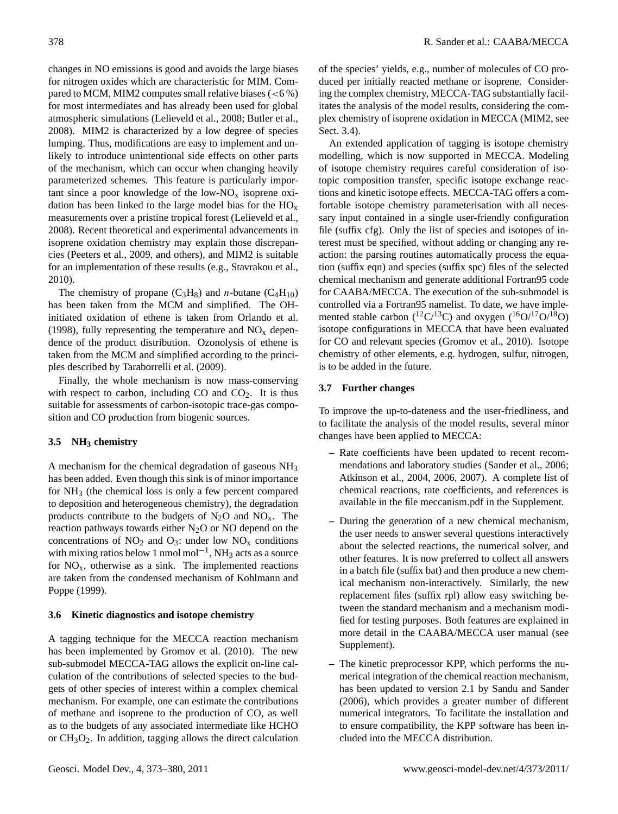changes in NO emissions is good and avoids the large biases for nitrogen oxides which are characteristic for MIM. Compared to MCM, MIM2 computes small relative biases  $(<6\%)$ for most intermediates and has already been used for global atmospheric simulations [\(Lelieveld et al.,](#page-7-17) [2008;](#page-7-17) [Butler et al.,](#page-6-12) [2008\)](#page-6-12). MIM2 is characterized by a low degree of species lumping. Thus, modifications are easy to implement and unlikely to introduce unintentional side effects on other parts of the mechanism, which can occur when changing heavily parameterized schemes. This feature is particularly important since a poor knowledge of the low- $NO<sub>x</sub>$  isoprene oxidation has been linked to the large model bias for the  $HO<sub>x</sub>$ measurements over a pristine tropical forest [\(Lelieveld et al.,](#page-7-17) [2008\)](#page-7-17). Recent theoretical and experimental advancements in isoprene oxidation chemistry may explain those discrepancies [\(Peeters et al.,](#page-7-18) [2009,](#page-7-18) and others), and MIM2 is suitable for an implementation of these results (e.g., [Stavrakou et al.,](#page-7-19) [2010\)](#page-7-19).

The chemistry of propane  $(C_3H_8)$  and *n*-butane  $(C_4H_{10})$ has been taken from the MCM and simplified. The OHinitiated oxidation of ethene is taken from [Orlando et al.](#page-7-20) [\(1998\)](#page-7-20), fully representing the temperature and  $NO<sub>x</sub>$  dependence of the product distribution. Ozonolysis of ethene is taken from the MCM and simplified according to the principles described by [Taraborrelli et al.](#page-7-3) [\(2009\)](#page-7-3).

Finally, the whole mechanism is now mass-conserving with respect to carbon, including  $CO$  and  $CO<sub>2</sub>$ . It is thus suitable for assessments of carbon-isotopic trace-gas composition and CO production from biogenic sources.

#### **3.5 NH<sup>3</sup> chemistry**

A mechanism for the chemical degradation of gaseous NH<sup>3</sup> has been added. Even though this sink is of minor importance for  $NH<sub>3</sub>$  (the chemical loss is only a few percent compared to deposition and heterogeneous chemistry), the degradation products contribute to the budgets of  $N_2O$  and  $NO<sub>x</sub>$ . The reaction pathways towards either  $N_2O$  or NO depend on the concentrations of  $NO<sub>2</sub>$  and  $O<sub>3</sub>$ : under low  $NO<sub>x</sub>$  conditions with mixing ratios below 1 nmol mol<sup>-1</sup>, NH<sub>3</sub> acts as a source for  $NO<sub>x</sub>$ , otherwise as a sink. The implemented reactions are taken from the condensed mechanism of [Kohlmann and](#page-7-21) [Poppe](#page-7-21) [\(1999\)](#page-7-21).

#### **3.6 Kinetic diagnostics and isotope chemistry**

A tagging technique for the MECCA reaction mechanism has been implemented by [Gromov et al.](#page-6-1) [\(2010\)](#page-6-1). The new sub-submodel MECCA-TAG allows the explicit on-line calculation of the contributions of selected species to the budgets of other species of interest within a complex chemical mechanism. For example, one can estimate the contributions of methane and isoprene to the production of CO, as well as to the budgets of any associated intermediate like HCHO or  $CH<sub>3</sub>O<sub>2</sub>$ . In addition, tagging allows the direct calculation of the species' yields, e.g., number of molecules of CO produced per initially reacted methane or isoprene. Considering the complex chemistry, MECCA-TAG substantially facilitates the analysis of the model results, considering the complex chemistry of isoprene oxidation in MECCA (MIM2, see Sect. [3.4\)](#page-4-1).

An extended application of tagging is isotope chemistry modelling, which is now supported in MECCA. Modeling of isotope chemistry requires careful consideration of isotopic composition transfer, specific isotope exchange reactions and kinetic isotope effects. MECCA-TAG offers a comfortable isotope chemistry parameterisation with all necessary input contained in a single user-friendly configuration file (suffix cfg). Only the list of species and isotopes of interest must be specified, without adding or changing any reaction: the parsing routines automatically process the equation (suffix eqn) and species (suffix spc) files of the selected chemical mechanism and generate additional Fortran95 code for CAABA/MECCA. The execution of the sub-submodel is controlled via a Fortran95 namelist. To date, we have implemented stable carbon ( ${}^{12}C/{}^{13}C$ ) and oxygen ( ${}^{16}O/{}^{17}O/{}^{18}O$ ) isotope configurations in MECCA that have been evaluated for CO and relevant species [\(Gromov et al.,](#page-6-1) [2010\)](#page-6-1). Isotope chemistry of other elements, e.g. hydrogen, sulfur, nitrogen, is to be added in the future.

#### **3.7 Further changes**

To improve the up-to-dateness and the user-friedliness, and to facilitate the analysis of the model results, several minor changes have been applied to MECCA:

- **–** Rate coefficients have been updated to recent recommendations and laboratory studies [\(Sander et al.,](#page-7-22) [2006;](#page-7-22) [Atkinson et al.,](#page-6-8) [2004,](#page-6-8) [2006,](#page-6-9) [2007\)](#page-6-10). A complete list of chemical reactions, rate coefficients, and references is available in the file meccanism.pdf in the Supplement.
- **–** During the generation of a new chemical mechanism, the user needs to answer several questions interactively about the selected reactions, the numerical solver, and other features. It is now preferred to collect all answers in a batch file (suffix bat) and then produce a new chemical mechanism non-interactively. Similarly, the new replacement files (suffix rpl) allow easy switching between the standard mechanism and a mechanism modified for testing purposes. Both features are explained in more detail in the CAABA/MECCA user manual (see Supplement).
- **–** The kinetic preprocessor KPP, which performs the numerical integration of the chemical reaction mechanism, has been updated to version 2.1 by [Sandu and Sander](#page-7-23) [\(2006\)](#page-7-23), which provides a greater number of different numerical integrators. To facilitate the installation and to ensure compatibility, the KPP software has been included into the MECCA distribution.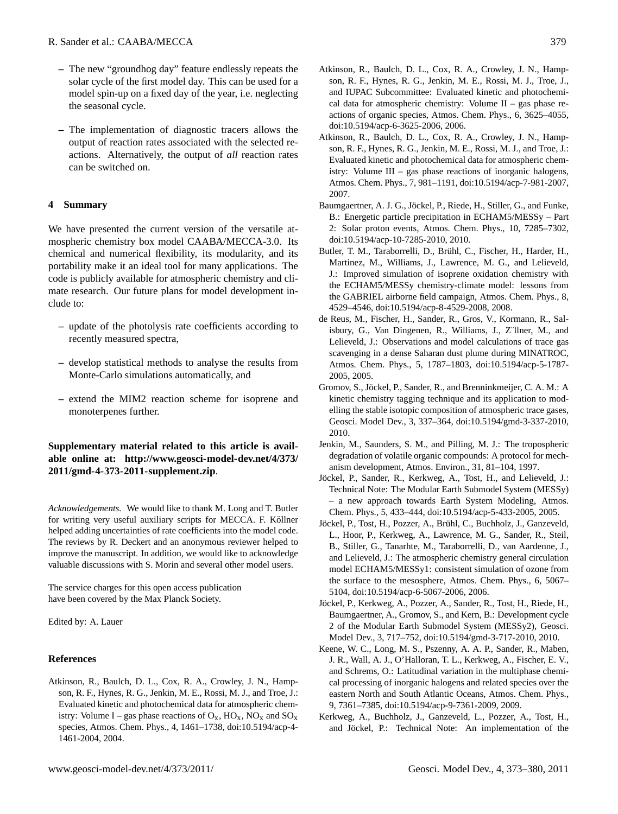- **–** The new "groundhog day" feature endlessly repeats the solar cycle of the first model day. This can be used for a model spin-up on a fixed day of the year, i.e. neglecting the seasonal cycle.
- **–** The implementation of diagnostic tracers allows the output of reaction rates associated with the selected reactions. Alternatively, the output of *all* reaction rates can be switched on.

# **4 Summary**

We have presented the current version of the versatile atmospheric chemistry box model CAABA/MECCA-3.0. Its chemical and numerical flexibility, its modularity, and its portability make it an ideal tool for many applications. The code is publicly available for atmospheric chemistry and climate research. Our future plans for model development include to:

- **–** update of the photolysis rate coefficients according to recently measured spectra,
- **–** develop statistical methods to analyse the results from Monte-Carlo simulations automatically, and
- **–** extend the MIM2 reaction scheme for isoprene and monoterpenes further.

# **Supplementary material related to this article is available online at: [http://www.geosci-model-dev.net/4/373/](http://www.geosci-model-dev.net/4/373/2011/gmd-4-373-2011-supplement.zip) [2011/gmd-4-373-2011-supplement.zip](http://www.geosci-model-dev.net/4/373/2011/gmd-4-373-2011-supplement.zip)**.

*Acknowledgements.* We would like to thank M. Long and T. Butler for writing very useful auxiliary scripts for MECCA. F. Köllner helped adding uncertainties of rate coefficients into the model code. The reviews by R. Deckert and an anonymous reviewer helped to improve the manuscript. In addition, we would like to acknowledge valuable discussions with S. Morin and several other model users.

The service charges for this open access publication have been covered by the Max Planck Society.

Edited by: A. Lauer

#### **References**

<span id="page-6-8"></span>Atkinson, R., Baulch, D. L., Cox, R. A., Crowley, J. N., Hampson, R. F., Hynes, R. G., Jenkin, M. E., Rossi, M. J., and Troe, J.: Evaluated kinetic and photochemical data for atmospheric chemistry: Volume I – gas phase reactions of  $O_x$ ,  $HO_x$ ,  $NO_x$  and  $SO_x$ species, Atmos. Chem. Phys., 4, 1461–1738, [doi:10.5194/acp-4-](http://dx.doi.org/10.5194/acp-4-1461-2004) [1461-2004,](http://dx.doi.org/10.5194/acp-4-1461-2004) 2004.

- <span id="page-6-9"></span>Atkinson, R., Baulch, D. L., Cox, R. A., Crowley, J. N., Hampson, R. F., Hynes, R. G., Jenkin, M. E., Rossi, M. J., Troe, J., and IUPAC Subcommittee: Evaluated kinetic and photochemical data for atmospheric chemistry: Volume II – gas phase reactions of organic species, Atmos. Chem. Phys., 6, 3625–4055, [doi:10.5194/acp-6-3625-2006,](http://dx.doi.org/10.5194/acp-6-3625-2006) 2006.
- <span id="page-6-10"></span>Atkinson, R., Baulch, D. L., Cox, R. A., Crowley, J. N., Hampson, R. F., Hynes, R. G., Jenkin, M. E., Rossi, M. J., and Troe, J.: Evaluated kinetic and photochemical data for atmospheric chemistry: Volume III – gas phase reactions of inorganic halogens, Atmos. Chem. Phys., 7, 981–1191, [doi:10.5194/acp-7-981-2007,](http://dx.doi.org/10.5194/acp-7-981-2007) 2007.
- <span id="page-6-7"></span>Baumgaertner, A. J. G., Jöckel, P., Riede, H., Stiller, G., and Funke, B.: Energetic particle precipitation in ECHAM5/MESSy – Part 2: Solar proton events, Atmos. Chem. Phys., 10, 7285–7302, [doi:10.5194/acp-10-7285-2010,](http://dx.doi.org/10.5194/acp-10-7285-2010) 2010.
- <span id="page-6-12"></span>Butler, T. M., Taraborrelli, D., Brühl, C., Fischer, H., Harder, H., Martinez, M., Williams, J., Lawrence, M. G., and Lelieveld, J.: Improved simulation of isoprene oxidation chemistry with the ECHAM5/MESSy chemistry-climate model: lessons from the GABRIEL airborne field campaign, Atmos. Chem. Phys., 8, 4529–4546, [doi:10.5194/acp-8-4529-2008,](http://dx.doi.org/10.5194/acp-8-4529-2008) 2008.
- <span id="page-6-5"></span>de Reus, M., Fischer, H., Sander, R., Gros, V., Kormann, R., Salisbury, G., Van Dingenen, R., Williams, J., Z¨llner, M., and Lelieveld, J.: Observations and model calculations of trace gas scavenging in a dense Saharan dust plume during MINATROC, Atmos. Chem. Phys., 5, 1787–1803, [doi:10.5194/acp-5-1787-](http://dx.doi.org/10.5194/acp-5-1787-2005) [2005,](http://dx.doi.org/10.5194/acp-5-1787-2005) 2005.
- <span id="page-6-1"></span>Gromov, S., Jöckel, P., Sander, R., and Brenninkmeijer, C. A. M.: A kinetic chemistry tagging technique and its application to modelling the stable isotopic composition of atmospheric trace gases, Geosci. Model Dev., 3, 337–364, [doi:10.5194/gmd-3-337-2010,](http://dx.doi.org/10.5194/gmd-3-337-2010) 2010.
- <span id="page-6-11"></span>Jenkin, M., Saunders, S. M., and Pilling, M. J.: The tropospheric degradation of volatile organic compounds: A protocol for mechanism development, Atmos. Environ., 31, 81–104, 1997.
- <span id="page-6-3"></span>Jöckel, P., Sander, R., Kerkweg, A., Tost, H., and Lelieveld, J.: Technical Note: The Modular Earth Submodel System (MESSy) – a new approach towards Earth System Modeling, Atmos. Chem. Phys., 5, 433–444, [doi:10.5194/acp-5-433-2005,](http://dx.doi.org/10.5194/acp-5-433-2005) 2005.
- <span id="page-6-6"></span>Jöckel, P., Tost, H., Pozzer, A., Brühl, C., Buchholz, J., Ganzeveld, L., Hoor, P., Kerkweg, A., Lawrence, M. G., Sander, R., Steil, B., Stiller, G., Tanarhte, M., Taraborrelli, D., van Aardenne, J., and Lelieveld, J.: The atmospheric chemistry general circulation model ECHAM5/MESSy1: consistent simulation of ozone from the surface to the mesosphere, Atmos. Chem. Phys., 6, 5067– 5104, [doi:10.5194/acp-6-5067-2006,](http://dx.doi.org/10.5194/acp-6-5067-2006) 2006.
- <span id="page-6-2"></span>Jockel, P., Kerkweg, A., Pozzer, A., Sander, R., Tost, H., Riede, H., ¨ Baumgaertner, A., Gromov, S., and Kern, B.: Development cycle 2 of the Modular Earth Submodel System (MESSy2), Geosci. Model Dev., 3, 717–752, [doi:10.5194/gmd-3-717-2010,](http://dx.doi.org/10.5194/gmd-3-717-2010) 2010.
- <span id="page-6-0"></span>Keene, W. C., Long, M. S., Pszenny, A. A. P., Sander, R., Maben, J. R., Wall, A. J., O'Halloran, T. L., Kerkweg, A., Fischer, E. V., and Schrems, O.: Latitudinal variation in the multiphase chemical processing of inorganic halogens and related species over the eastern North and South Atlantic Oceans, Atmos. Chem. Phys., 9, 7361–7385, [doi:10.5194/acp-9-7361-2009,](http://dx.doi.org/10.5194/acp-9-7361-2009) 2009.
- <span id="page-6-4"></span>Kerkweg, A., Buchholz, J., Ganzeveld, L., Pozzer, A., Tost, H., and Jöckel, P.: Technical Note: An implementation of the